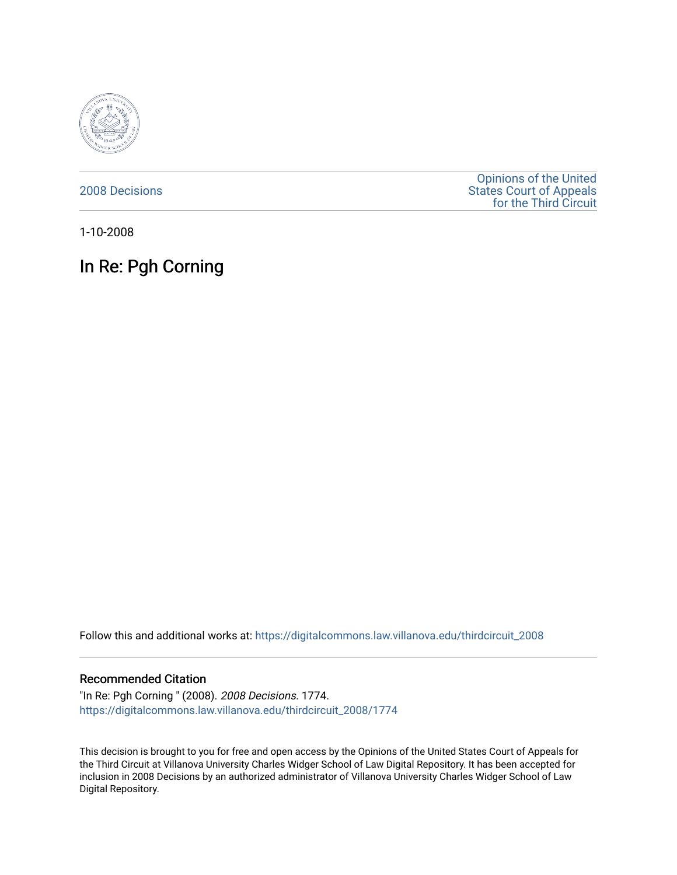

[2008 Decisions](https://digitalcommons.law.villanova.edu/thirdcircuit_2008)

[Opinions of the United](https://digitalcommons.law.villanova.edu/thirdcircuit)  [States Court of Appeals](https://digitalcommons.law.villanova.edu/thirdcircuit)  [for the Third Circuit](https://digitalcommons.law.villanova.edu/thirdcircuit) 

1-10-2008

# In Re: Pgh Corning

Follow this and additional works at: [https://digitalcommons.law.villanova.edu/thirdcircuit\\_2008](https://digitalcommons.law.villanova.edu/thirdcircuit_2008?utm_source=digitalcommons.law.villanova.edu%2Fthirdcircuit_2008%2F1774&utm_medium=PDF&utm_campaign=PDFCoverPages) 

#### Recommended Citation

"In Re: Pgh Corning " (2008). 2008 Decisions. 1774. [https://digitalcommons.law.villanova.edu/thirdcircuit\\_2008/1774](https://digitalcommons.law.villanova.edu/thirdcircuit_2008/1774?utm_source=digitalcommons.law.villanova.edu%2Fthirdcircuit_2008%2F1774&utm_medium=PDF&utm_campaign=PDFCoverPages) 

This decision is brought to you for free and open access by the Opinions of the United States Court of Appeals for the Third Circuit at Villanova University Charles Widger School of Law Digital Repository. It has been accepted for inclusion in 2008 Decisions by an authorized administrator of Villanova University Charles Widger School of Law Digital Repository.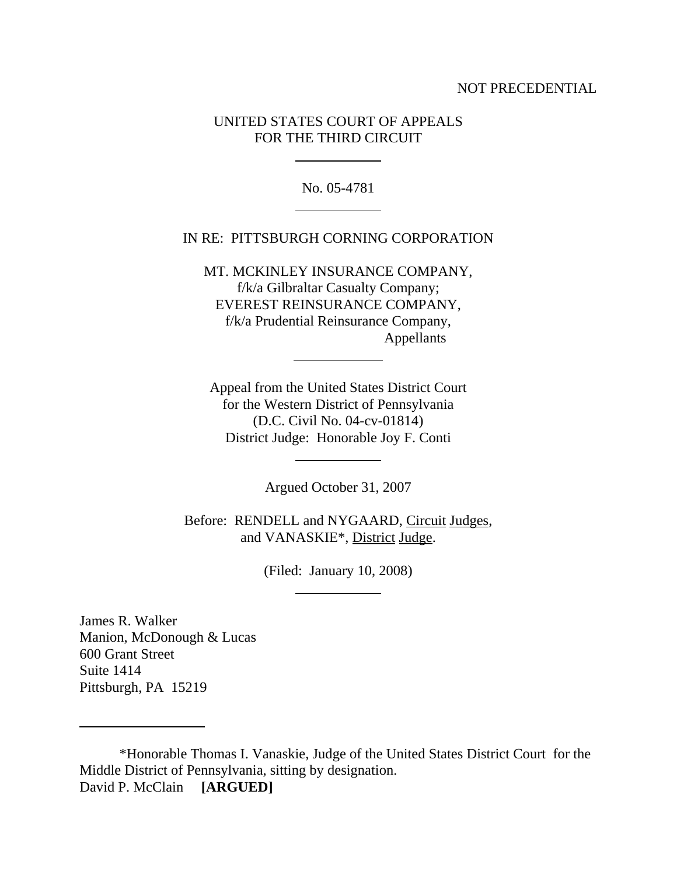#### NOT PRECEDENTIAL

# UNITED STATES COURT OF APPEALS FOR THE THIRD CIRCUIT

l

 $\overline{a}$ 

l

l

l

No. 05-4781

# IN RE: PITTSBURGH CORNING CORPORATION

MT. MCKINLEY INSURANCE COMPANY, f/k/a Gilbraltar Casualty Company; EVEREST REINSURANCE COMPANY, f/k/a Prudential Reinsurance Company, Appellants

Appeal from the United States District Court for the Western District of Pennsylvania (D.C. Civil No. 04-cv-01814) District Judge: Honorable Joy F. Conti

Argued October 31, 2007

Before: RENDELL and NYGAARD, Circuit Judges, and VANASKIE\*, District Judge.

(Filed: January 10, 2008)

James R. Walker Manion, McDonough & Lucas 600 Grant Street Suite 1414 Pittsburgh, PA 15219

 $\overline{a}$ 

\*Honorable Thomas I. Vanaskie, Judge of the United States District Court for the Middle District of Pennsylvania, sitting by designation. David P. McClain **[ARGUED]**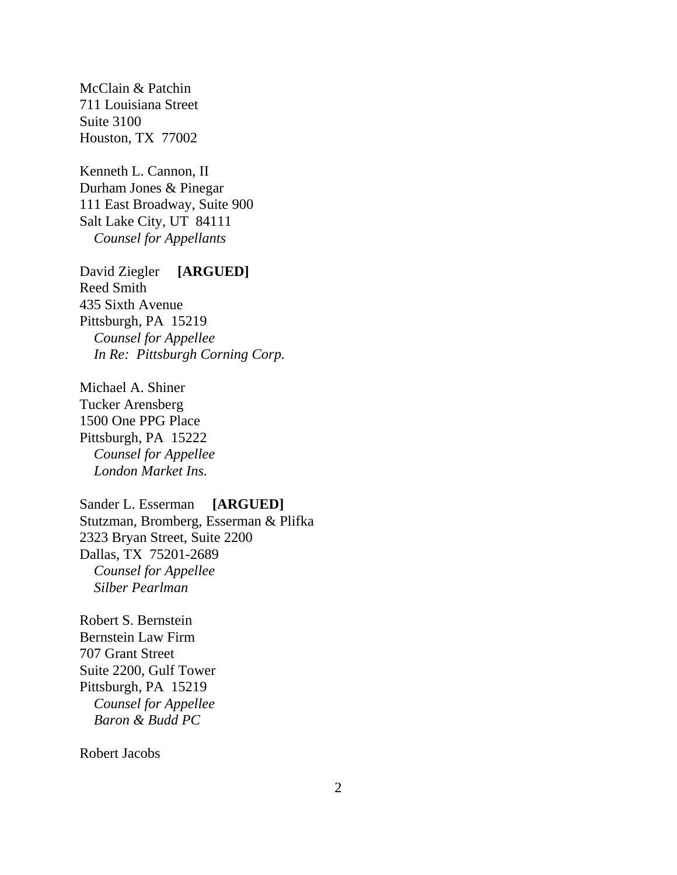McClain & Patchin 711 Louisiana Street Suite 3100 Houston, TX 77002

Kenneth L. Cannon, II Durham Jones & Pinegar 111 East Broadway, Suite 900 Salt Lake City, UT 84111  *Counsel for Appellants*

David Ziegler **[ARGUED]** Reed Smith 435 Sixth Avenue Pittsburgh, PA 15219 *Counsel for Appellee In Re: Pittsburgh Corning Corp.*

Michael A. Shiner Tucker Arensberg 1500 One PPG Place Pittsburgh, PA 15222 *Counsel for Appellee London Market Ins.*

Sander L. Esserman **[ARGUED]** Stutzman, Bromberg, Esserman & Plifka 2323 Bryan Street, Suite 2200 Dallas, TX 75201-2689 *Counsel for Appellee Silber Pearlman*

Robert S. Bernstein Bernstein Law Firm 707 Grant Street Suite 2200, Gulf Tower Pittsburgh, PA 15219 *Counsel for Appellee Baron & Budd PC*

Robert Jacobs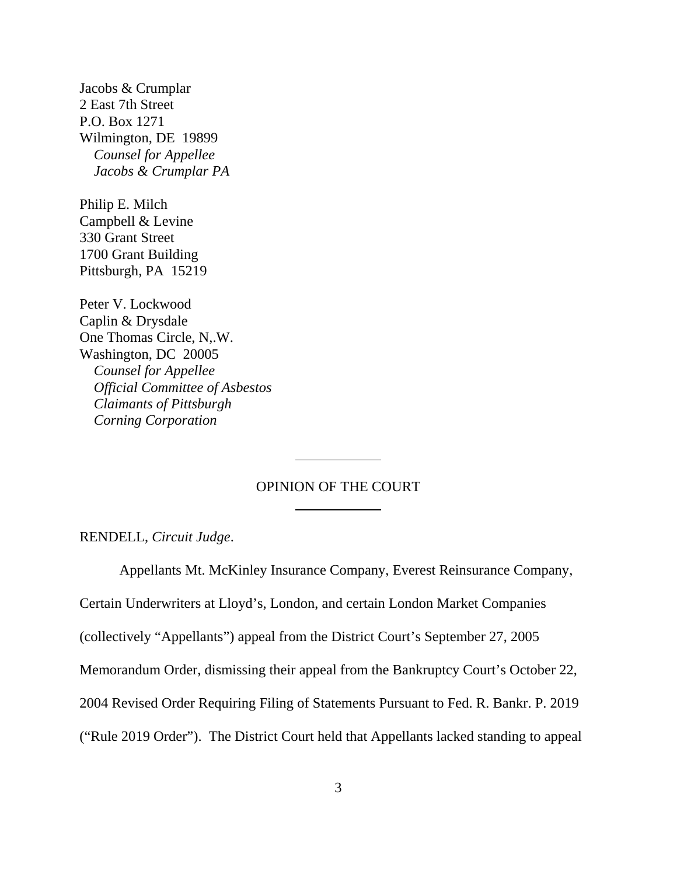Jacobs & Crumplar 2 East 7th Street P.O. Box 1271 Wilmington, DE 19899  *Counsel for Appellee Jacobs & Crumplar PA*

Philip E. Milch Campbell & Levine 330 Grant Street 1700 Grant Building Pittsburgh, PA 15219

Peter V. Lockwood Caplin & Drysdale One Thomas Circle, N,.W. Washington, DC 20005 *Counsel for Appellee Official Committee of Asbestos Claimants of Pittsburgh Corning Corporation*

## OPINION OF THE COURT

RENDELL, *Circuit Judge*.

Appellants Mt. McKinley Insurance Company, Everest Reinsurance Company,

Certain Underwriters at Lloyd's, London, and certain London Market Companies

l

l

(collectively "Appellants") appeal from the District Court's September 27, 2005

Memorandum Order, dismissing their appeal from the Bankruptcy Court's October 22,

2004 Revised Order Requiring Filing of Statements Pursuant to Fed. R. Bankr. P. 2019

("Rule 2019 Order"). The District Court held that Appellants lacked standing to appeal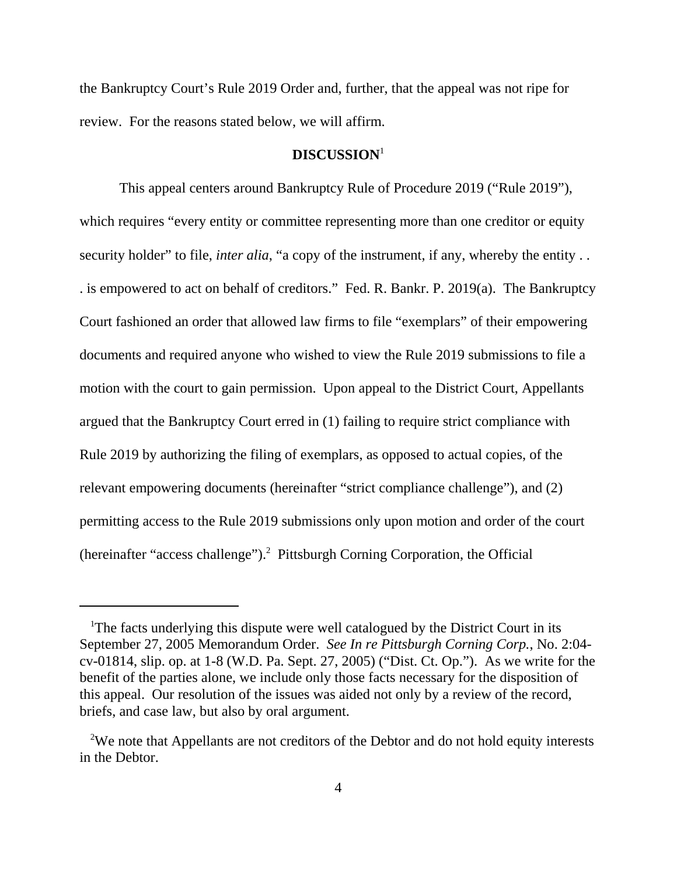the Bankruptcy Court's Rule 2019 Order and, further, that the appeal was not ripe for review. For the reasons stated below, we will affirm.

### **DISCUSSION**<sup>1</sup>

This appeal centers around Bankruptcy Rule of Procedure 2019 ("Rule 2019"), which requires "every entity or committee representing more than one creditor or equity security holder" to file, *inter alia*, "a copy of the instrument, if any, whereby the entity . . . is empowered to act on behalf of creditors." Fed. R. Bankr. P. 2019(a). The Bankruptcy Court fashioned an order that allowed law firms to file "exemplars" of their empowering documents and required anyone who wished to view the Rule 2019 submissions to file a motion with the court to gain permission. Upon appeal to the District Court, Appellants argued that the Bankruptcy Court erred in (1) failing to require strict compliance with Rule 2019 by authorizing the filing of exemplars, as opposed to actual copies, of the relevant empowering documents (hereinafter "strict compliance challenge"), and (2) permitting access to the Rule 2019 submissions only upon motion and order of the court (hereinafter "access challenge").<sup>2</sup> Pittsburgh Corning Corporation, the Official

<sup>&</sup>lt;sup>1</sup>The facts underlying this dispute were well catalogued by the District Court in its September 27, 2005 Memorandum Order. *See In re Pittsburgh Corning Corp.*, No. 2:04 cv-01814, slip. op. at 1-8 (W.D. Pa. Sept. 27, 2005) ("Dist. Ct. Op."). As we write for the benefit of the parties alone, we include only those facts necessary for the disposition of this appeal. Our resolution of the issues was aided not only by a review of the record, briefs, and case law, but also by oral argument.

<sup>&</sup>lt;sup>2</sup>We note that Appellants are not creditors of the Debtor and do not hold equity interests in the Debtor.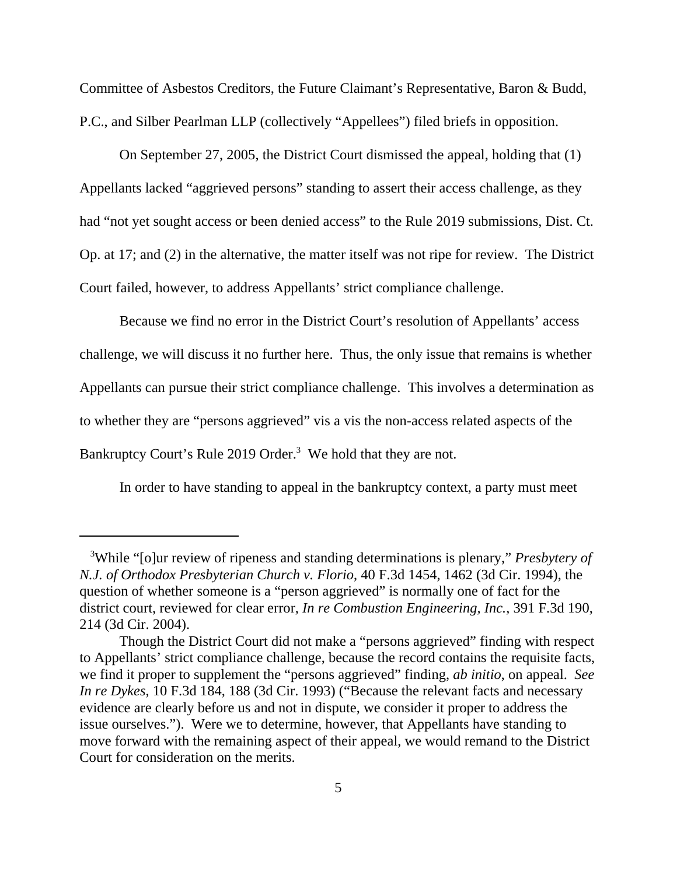Committee of Asbestos Creditors, the Future Claimant's Representative, Baron & Budd, P.C., and Silber Pearlman LLP (collectively "Appellees") filed briefs in opposition.

On September 27, 2005, the District Court dismissed the appeal, holding that (1) Appellants lacked "aggrieved persons" standing to assert their access challenge, as they had "not yet sought access or been denied access" to the Rule 2019 submissions, Dist. Ct. Op. at 17; and (2) in the alternative, the matter itself was not ripe for review. The District Court failed, however, to address Appellants' strict compliance challenge.

Because we find no error in the District Court's resolution of Appellants' access challenge, we will discuss it no further here. Thus, the only issue that remains is whether Appellants can pursue their strict compliance challenge. This involves a determination as to whether they are "persons aggrieved" vis a vis the non-access related aspects of the Bankruptcy Court's Rule 2019 Order.<sup>3</sup> We hold that they are not.

In order to have standing to appeal in the bankruptcy context, a party must meet

<sup>&</sup>lt;sup>3</sup>While "[o]ur review of ripeness and standing determinations is plenary," *Presbytery of N.J. of Orthodox Presbyterian Church v. Florio*, 40 F.3d 1454, 1462 (3d Cir. 1994), the question of whether someone is a "person aggrieved" is normally one of fact for the district court, reviewed for clear error, *In re Combustion Engineering, Inc.*, 391 F.3d 190, 214 (3d Cir. 2004).

Though the District Court did not make a "persons aggrieved" finding with respect to Appellants' strict compliance challenge, because the record contains the requisite facts, we find it proper to supplement the "persons aggrieved" finding, *ab initio*, on appeal. *See In re Dykes*, 10 F.3d 184, 188 (3d Cir. 1993) ("Because the relevant facts and necessary evidence are clearly before us and not in dispute, we consider it proper to address the issue ourselves."). Were we to determine, however, that Appellants have standing to move forward with the remaining aspect of their appeal, we would remand to the District Court for consideration on the merits.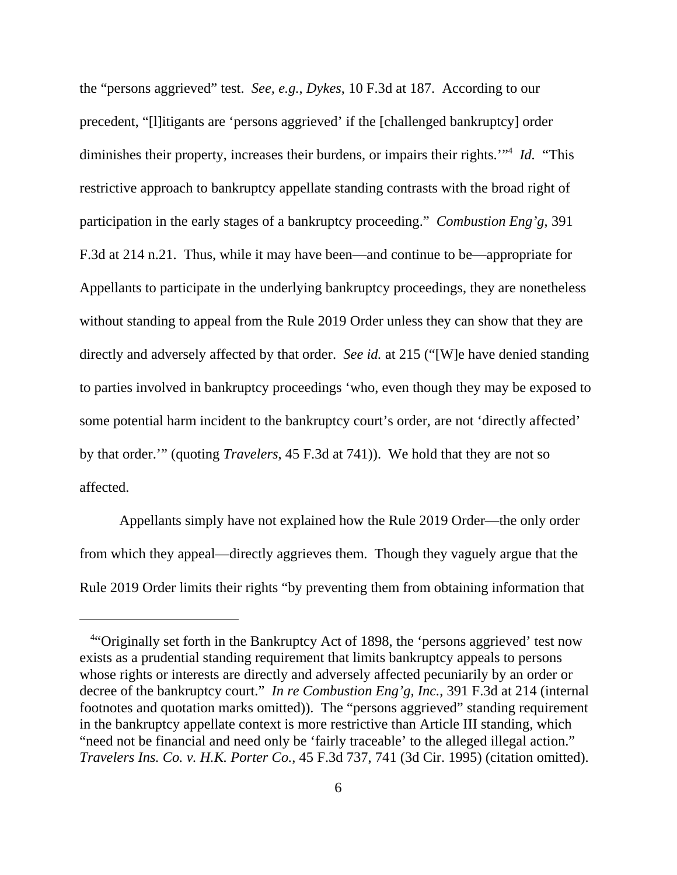the "persons aggrieved" test. *See, e.g.*, *Dykes*, 10 F.3d at 187. According to our precedent, "[l]itigants are 'persons aggrieved' if the [challenged bankruptcy] order diminishes their property, increases their burdens, or impairs their rights."<sup>4</sup> *Id.* "This restrictive approach to bankruptcy appellate standing contrasts with the broad right of participation in the early stages of a bankruptcy proceeding." *Combustion Eng'g*, 391 F.3d at 214 n.21. Thus, while it may have been—and continue to be—appropriate for Appellants to participate in the underlying bankruptcy proceedings, they are nonetheless without standing to appeal from the Rule 2019 Order unless they can show that they are directly and adversely affected by that order. *See id.* at 215 ("[W]e have denied standing to parties involved in bankruptcy proceedings 'who, even though they may be exposed to some potential harm incident to the bankruptcy court's order, are not 'directly affected' by that order.'" (quoting *Travelers*, 45 F.3d at 741)). We hold that they are not so affected.

Appellants simply have not explained how the Rule 2019 Order—the only order from which they appeal—directly aggrieves them. Though they vaguely argue that the Rule 2019 Order limits their rights "by preventing them from obtaining information that

<sup>&</sup>lt;sup>4</sup>"Originally set forth in the Bankruptcy Act of 1898, the 'persons aggrieved' test now exists as a prudential standing requirement that limits bankruptcy appeals to persons whose rights or interests are directly and adversely affected pecuniarily by an order or decree of the bankruptcy court." *In re Combustion Eng'g, Inc.*, 391 F.3d at 214 (internal footnotes and quotation marks omitted)). The "persons aggrieved" standing requirement in the bankruptcy appellate context is more restrictive than Article III standing, which "need not be financial and need only be 'fairly traceable' to the alleged illegal action." *Travelers Ins. Co. v. H.K. Porter Co.*, 45 F.3d 737, 741 (3d Cir. 1995) (citation omitted).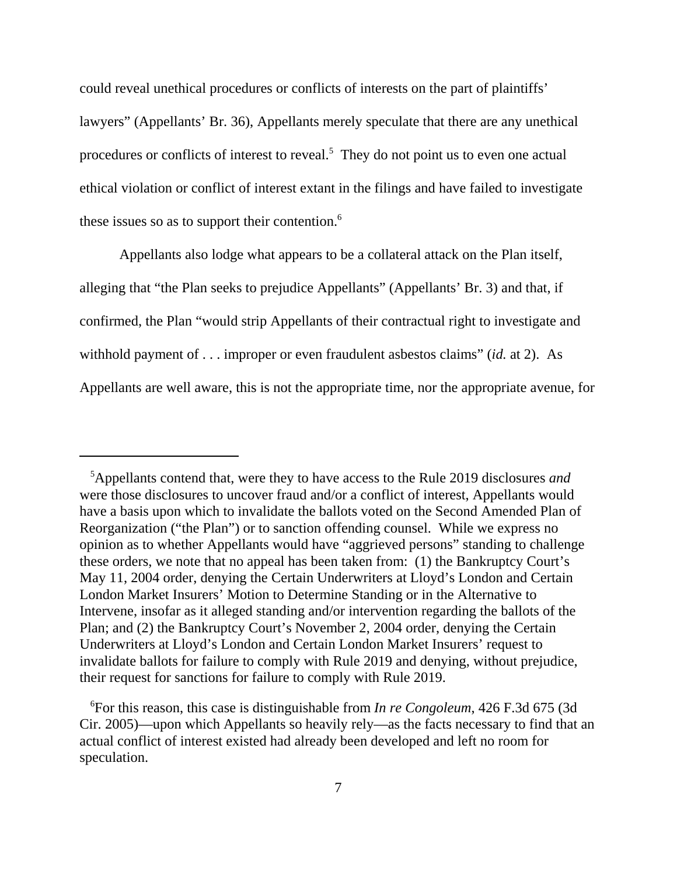could reveal unethical procedures or conflicts of interests on the part of plaintiffs' lawyers" (Appellants' Br. 36), Appellants merely speculate that there are any unethical procedures or conflicts of interest to reveal.<sup>5</sup> They do not point us to even one actual ethical violation or conflict of interest extant in the filings and have failed to investigate these issues so as to support their contention.<sup>6</sup>

Appellants also lodge what appears to be a collateral attack on the Plan itself, alleging that "the Plan seeks to prejudice Appellants" (Appellants' Br. 3) and that, if confirmed, the Plan "would strip Appellants of their contractual right to investigate and withhold payment of . . . improper or even fraudulent asbestos claims" (*id.* at 2). As Appellants are well aware, this is not the appropriate time, nor the appropriate avenue, for

 <sup>5</sup> Appellants contend that, were they to have access to the Rule 2019 disclosures *and* were those disclosures to uncover fraud and/or a conflict of interest, Appellants would have a basis upon which to invalidate the ballots voted on the Second Amended Plan of Reorganization ("the Plan") or to sanction offending counsel. While we express no opinion as to whether Appellants would have "aggrieved persons" standing to challenge these orders, we note that no appeal has been taken from: (1) the Bankruptcy Court's May 11, 2004 order, denying the Certain Underwriters at Lloyd's London and Certain London Market Insurers' Motion to Determine Standing or in the Alternative to Intervene, insofar as it alleged standing and/or intervention regarding the ballots of the Plan; and (2) the Bankruptcy Court's November 2, 2004 order, denying the Certain Underwriters at Lloyd's London and Certain London Market Insurers' request to invalidate ballots for failure to comply with Rule 2019 and denying, without prejudice, their request for sanctions for failure to comply with Rule 2019.

 <sup>6</sup> For this reason, this case is distinguishable from *In re Congoleum*, 426 F.3d 675 (3d Cir. 2005)—upon which Appellants so heavily rely—as the facts necessary to find that an actual conflict of interest existed had already been developed and left no room for speculation.